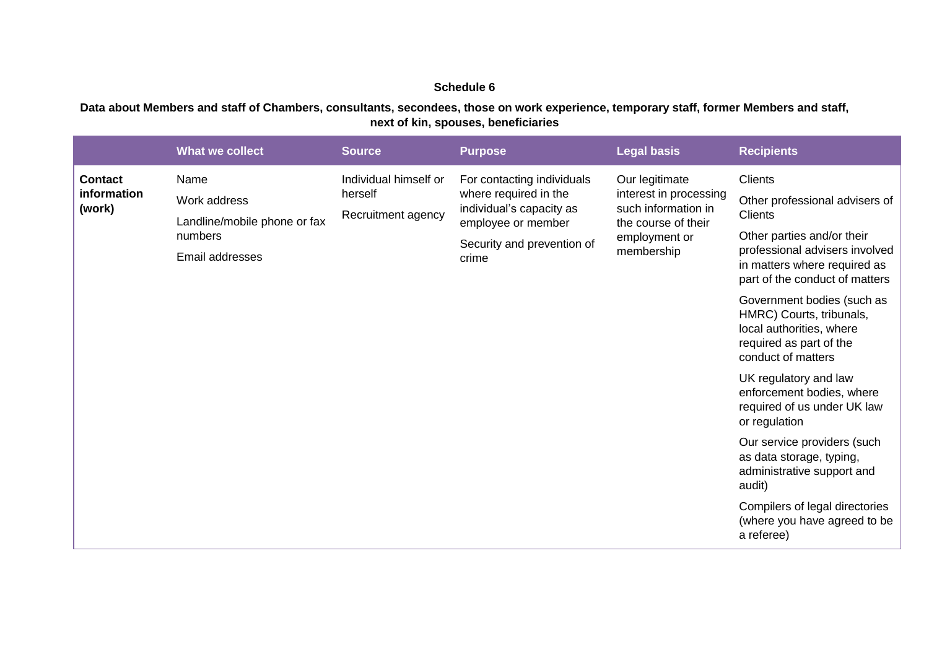## **Schedule 6**

**Data about Members and staff of Chambers, consultants, secondees, those on work experience, temporary staff, former Members and staff, next of kin, spouses, beneficiaries**

| Individual himself or<br>Our legitimate<br><b>Clients</b><br><b>Contact</b><br>Name<br>For contacting individuals<br>where required in the<br>interest in processing<br>information<br>herself<br>Work address<br>Other professional advisers of<br>such information in<br>individual's capacity as<br>(work)<br>Recruitment agency<br><b>Clients</b><br>Landline/mobile phone or fax<br>employee or member<br>the course of their<br>Other parties and/or their<br>numbers<br>employment or<br>Security and prevention of<br>professional advisers involved<br>membership<br>Email addresses<br>crime<br>in matters where required as<br>part of the conduct of matters<br>Government bodies (such as<br>HMRC) Courts, tribunals,<br>local authorities, where<br>required as part of the<br>conduct of matters<br>UK regulatory and law<br>enforcement bodies, where<br>required of us under UK law<br>or regulation<br>Our service providers (such<br>as data storage, typing,<br>administrative support and<br>audit)<br>Compilers of legal directories |  |
|------------------------------------------------------------------------------------------------------------------------------------------------------------------------------------------------------------------------------------------------------------------------------------------------------------------------------------------------------------------------------------------------------------------------------------------------------------------------------------------------------------------------------------------------------------------------------------------------------------------------------------------------------------------------------------------------------------------------------------------------------------------------------------------------------------------------------------------------------------------------------------------------------------------------------------------------------------------------------------------------------------------------------------------------------------|--|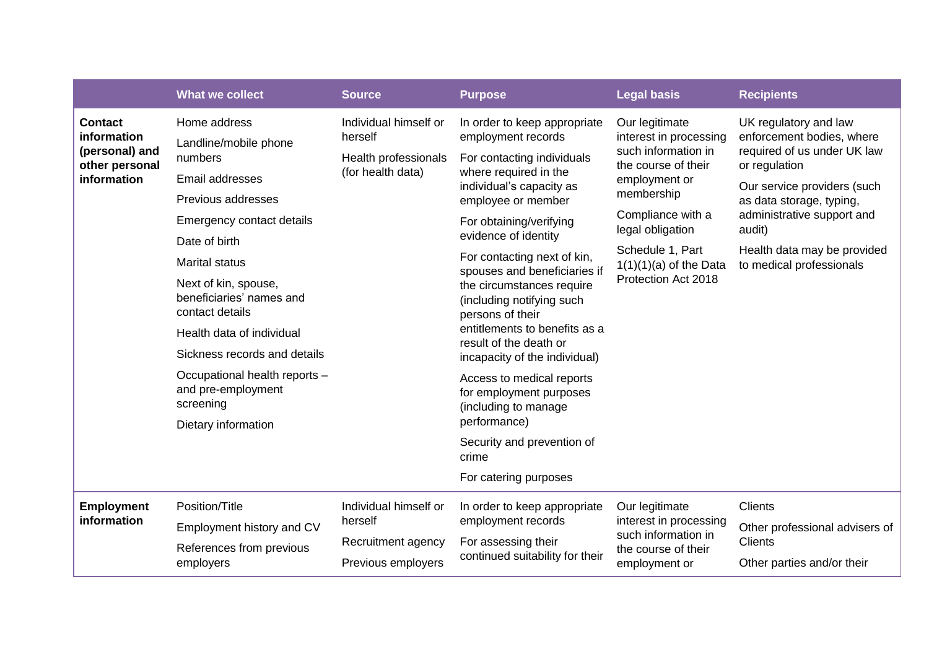|                                                                   | <b>What we collect</b>                                              | <b>Source</b>                             | <b>Purpose</b>                                                                                                                                                                                                                        | <b>Legal basis</b>                                                                                                                                             | <b>Recipients</b>                                                                                  |  |
|-------------------------------------------------------------------|---------------------------------------------------------------------|-------------------------------------------|---------------------------------------------------------------------------------------------------------------------------------------------------------------------------------------------------------------------------------------|----------------------------------------------------------------------------------------------------------------------------------------------------------------|----------------------------------------------------------------------------------------------------|--|
| <b>Contact</b><br>information<br>(personal) and<br>other personal | Home address                                                        | Individual himself or<br>herself          | In order to keep appropriate<br>employment records                                                                                                                                                                                    | Our legitimate<br>interest in processing<br>such information in<br>the course of their<br>employment or<br>membership<br>Compliance with a<br>legal obligation | UK regulatory and law<br>enforcement bodies, where<br>required of us under UK law<br>or regulation |  |
|                                                                   | Landline/mobile phone<br>numbers                                    | Health professionals<br>(for health data) | For contacting individuals<br>where required in the<br>individual's capacity as<br>employee or member<br>For obtaining/verifying<br>evidence of identity                                                                              |                                                                                                                                                                |                                                                                                    |  |
| information                                                       | Email addresses                                                     |                                           |                                                                                                                                                                                                                                       |                                                                                                                                                                | Our service providers (such<br>as data storage, typing,<br>administrative support and<br>audit)    |  |
|                                                                   | Previous addresses                                                  |                                           |                                                                                                                                                                                                                                       |                                                                                                                                                                |                                                                                                    |  |
|                                                                   | Emergency contact details                                           |                                           |                                                                                                                                                                                                                                       |                                                                                                                                                                |                                                                                                    |  |
|                                                                   | Date of birth                                                       |                                           |                                                                                                                                                                                                                                       | Schedule 1, Part<br>$1(1)(1)(a)$ of the Data<br>Protection Act 2018                                                                                            | Health data may be provided<br>to medical professionals                                            |  |
|                                                                   | <b>Marital status</b>                                               |                                           | For contacting next of kin,<br>spouses and beneficiaries if<br>the circumstances require<br>(including notifying such<br>persons of their<br>entitlements to benefits as a<br>result of the death or<br>incapacity of the individual) |                                                                                                                                                                |                                                                                                    |  |
|                                                                   | Next of kin, spouse,<br>beneficiaries' names and<br>contact details |                                           |                                                                                                                                                                                                                                       |                                                                                                                                                                |                                                                                                    |  |
|                                                                   | Health data of individual                                           |                                           |                                                                                                                                                                                                                                       |                                                                                                                                                                |                                                                                                    |  |
|                                                                   | Sickness records and details                                        |                                           |                                                                                                                                                                                                                                       |                                                                                                                                                                |                                                                                                    |  |
|                                                                   | Occupational health reports -<br>and pre-employment<br>screening    |                                           |                                                                                                                                                                                                                                       | Access to medical reports<br>for employment purposes<br>(including to manage                                                                                   |                                                                                                    |  |
|                                                                   | Dietary information                                                 |                                           | performance)                                                                                                                                                                                                                          |                                                                                                                                                                |                                                                                                    |  |
|                                                                   |                                                                     |                                           | Security and prevention of<br>crime                                                                                                                                                                                                   |                                                                                                                                                                |                                                                                                    |  |
|                                                                   |                                                                     |                                           | For catering purposes                                                                                                                                                                                                                 |                                                                                                                                                                |                                                                                                    |  |
| <b>Employment</b><br>information                                  | Position/Title                                                      | Individual himself or<br>herself          | In order to keep appropriate<br>employment records                                                                                                                                                                                    | Our legitimate<br>interest in processing<br>such information in<br>the course of their<br>employment or                                                        | <b>Clients</b>                                                                                     |  |
|                                                                   | Employment history and CV                                           |                                           |                                                                                                                                                                                                                                       |                                                                                                                                                                | Other professional advisers of                                                                     |  |
|                                                                   | References from previous                                            | Recruitment agency                        | For assessing their<br>continued suitability for their                                                                                                                                                                                |                                                                                                                                                                | <b>Clients</b>                                                                                     |  |
|                                                                   | employers                                                           | Previous employers                        |                                                                                                                                                                                                                                       |                                                                                                                                                                | Other parties and/or their                                                                         |  |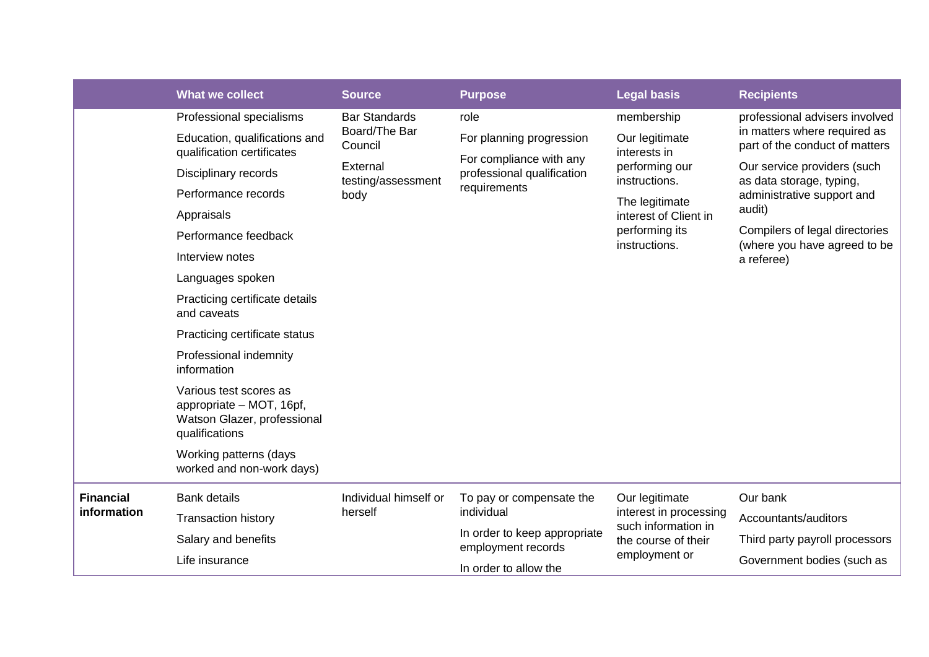|                                                                                                                                                            | <b>What we collect</b>                                      | <b>Source</b>                                                      | <b>Purpose</b>                                                                                    | <b>Legal basis</b>                                                                                      | <b>Recipients</b>                                                                                |
|------------------------------------------------------------------------------------------------------------------------------------------------------------|-------------------------------------------------------------|--------------------------------------------------------------------|---------------------------------------------------------------------------------------------------|---------------------------------------------------------------------------------------------------------|--------------------------------------------------------------------------------------------------|
|                                                                                                                                                            | Professional specialisms                                    | <b>Bar Standards</b>                                               | role                                                                                              | membership                                                                                              | professional advisers involved<br>in matters where required as<br>part of the conduct of matters |
|                                                                                                                                                            | Education, qualifications and<br>qualification certificates | Board/The Bar<br>Council<br>External<br>testing/assessment<br>body | For planning progression<br>For compliance with any<br>professional qualification<br>requirements | Our legitimate<br>interests in<br>performing our<br>instructions.                                       |                                                                                                  |
|                                                                                                                                                            | Disciplinary records                                        |                                                                    |                                                                                                   |                                                                                                         | Our service providers (such<br>as data storage, typing,<br>administrative support and<br>audit)  |
|                                                                                                                                                            | Performance records                                         |                                                                    |                                                                                                   | The legitimate<br>interest of Client in<br>performing its<br>instructions.                              |                                                                                                  |
|                                                                                                                                                            | Appraisals                                                  |                                                                    |                                                                                                   |                                                                                                         |                                                                                                  |
|                                                                                                                                                            | Performance feedback                                        |                                                                    |                                                                                                   |                                                                                                         | Compilers of legal directories<br>(where you have agreed to be<br>a referee)                     |
|                                                                                                                                                            | Interview notes                                             |                                                                    |                                                                                                   |                                                                                                         |                                                                                                  |
|                                                                                                                                                            | Languages spoken                                            |                                                                    |                                                                                                   |                                                                                                         |                                                                                                  |
|                                                                                                                                                            | Practicing certificate details<br>and caveats               |                                                                    |                                                                                                   |                                                                                                         |                                                                                                  |
|                                                                                                                                                            | Practicing certificate status                               |                                                                    |                                                                                                   |                                                                                                         |                                                                                                  |
|                                                                                                                                                            | Professional indemnity<br>information                       |                                                                    |                                                                                                   |                                                                                                         |                                                                                                  |
| Various test scores as<br>appropriate - MOT, 16pf,<br>Watson Glazer, professional<br>qualifications<br>Working patterns (days<br>worked and non-work days) |                                                             |                                                                    |                                                                                                   |                                                                                                         |                                                                                                  |
|                                                                                                                                                            |                                                             |                                                                    |                                                                                                   |                                                                                                         |                                                                                                  |
| <b>Financial</b><br>information                                                                                                                            | <b>Bank details</b>                                         | Individual himself or<br>herself                                   | To pay or compensate the<br>individual<br>In order to keep appropriate                            | Our legitimate<br>interest in processing<br>such information in<br>the course of their<br>employment or | Our bank                                                                                         |
|                                                                                                                                                            | <b>Transaction history</b>                                  |                                                                    |                                                                                                   |                                                                                                         | Accountants/auditors                                                                             |
|                                                                                                                                                            | Salary and benefits                                         |                                                                    |                                                                                                   |                                                                                                         | Third party payroll processors                                                                   |
|                                                                                                                                                            | Life insurance                                              |                                                                    | employment records<br>In order to allow the                                                       |                                                                                                         | Government bodies (such as                                                                       |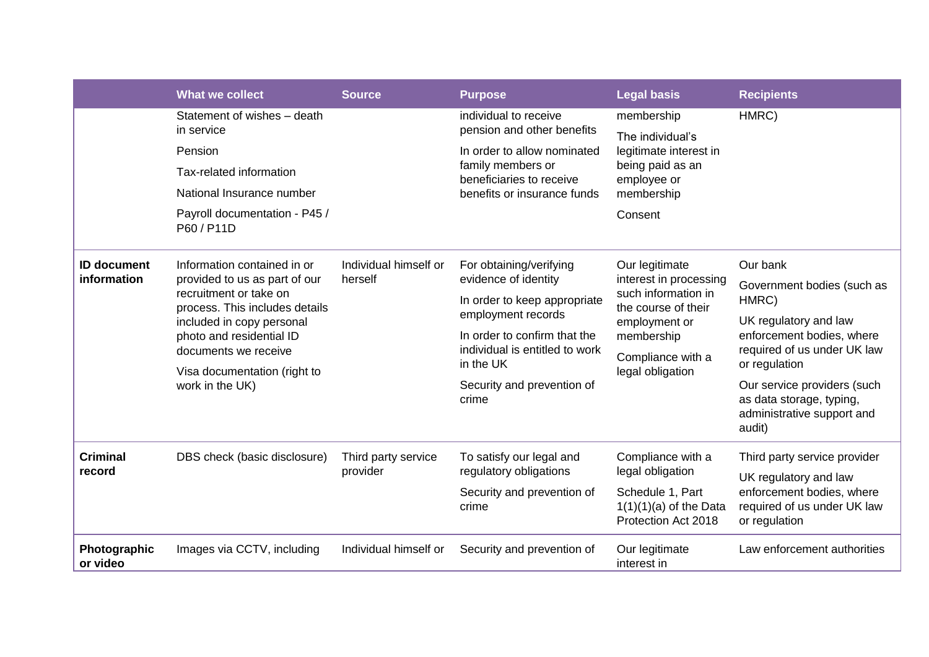|                           | <b>What we collect</b>                                                                                                   | <b>Source</b>                    | <b>Purpose</b>                                                               | <b>Legal basis</b>                                                                                                                                             | <b>Recipients</b>                                                                                           |
|---------------------------|--------------------------------------------------------------------------------------------------------------------------|----------------------------------|------------------------------------------------------------------------------|----------------------------------------------------------------------------------------------------------------------------------------------------------------|-------------------------------------------------------------------------------------------------------------|
|                           | individual to receive<br>Statement of wishes - death<br>in service                                                       | pension and other benefits       | membership<br>The individual's                                               | HMRC)                                                                                                                                                          |                                                                                                             |
|                           | Pension<br>Tax-related information                                                                                       |                                  | In order to allow nominated<br>family members or<br>beneficiaries to receive | legitimate interest in<br>being paid as an<br>employee or<br>membership                                                                                        |                                                                                                             |
|                           | National Insurance number                                                                                                |                                  | benefits or insurance funds                                                  |                                                                                                                                                                |                                                                                                             |
|                           | Payroll documentation - P45 /<br>P60 / P11D                                                                              |                                  |                                                                              | Consent                                                                                                                                                        |                                                                                                             |
| <b>ID document</b>        | Information contained in or<br>provided to us as part of our<br>recruitment or take on<br>process. This includes details | Individual himself or<br>herself | For obtaining/verifying                                                      | Our legitimate<br>interest in processing<br>such information in<br>the course of their<br>employment or<br>membership<br>Compliance with a<br>legal obligation | Our bank                                                                                                    |
| information               |                                                                                                                          |                                  | evidence of identity                                                         |                                                                                                                                                                | Government bodies (such as                                                                                  |
|                           |                                                                                                                          |                                  | In order to keep appropriate<br>employment records                           |                                                                                                                                                                | HMRC)<br>UK regulatory and law<br>enforcement bodies, where<br>required of us under UK law<br>or regulation |
|                           | included in copy personal<br>photo and residential ID<br>documents we receive                                            |                                  | In order to confirm that the<br>individual is entitled to work               |                                                                                                                                                                |                                                                                                             |
|                           | Visa documentation (right to                                                                                             |                                  | in the UK                                                                    |                                                                                                                                                                |                                                                                                             |
|                           | work in the UK)                                                                                                          |                                  | Security and prevention of<br>crime                                          |                                                                                                                                                                | Our service providers (such<br>as data storage, typing,<br>administrative support and<br>audit)             |
| <b>Criminal</b><br>record | DBS check (basic disclosure)                                                                                             | Third party service<br>provider  | To satisfy our legal and                                                     | Compliance with a<br>legal obligation<br>Schedule 1, Part<br>$1(1)(1)(a)$ of the Data<br>Protection Act 2018                                                   | Third party service provider                                                                                |
|                           |                                                                                                                          |                                  | regulatory obligations                                                       |                                                                                                                                                                | UK regulatory and law<br>enforcement bodies, where<br>required of us under UK law<br>or regulation          |
|                           |                                                                                                                          |                                  | Security and prevention of<br>crime                                          |                                                                                                                                                                |                                                                                                             |
| Photographic<br>or video  | Images via CCTV, including                                                                                               | Individual himself or            | Security and prevention of                                                   | Our legitimate<br>interest in                                                                                                                                  | Law enforcement authorities                                                                                 |